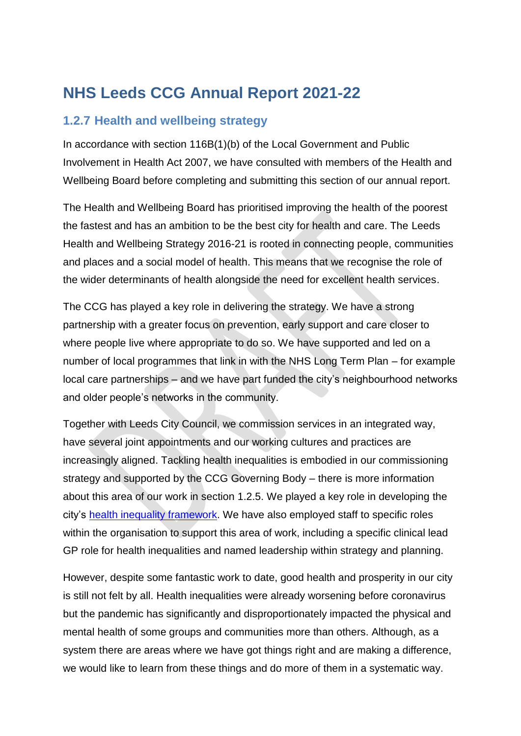## **NHS Leeds CCG Annual Report 2021-22**

## **1.2.7 Health and wellbeing strategy**

In accordance with section 116B(1)(b) of the Local Government and Public Involvement in Health Act 2007, we have consulted with members of the Health and Wellbeing Board before completing and submitting this section of our annual report.

The Health and Wellbeing Board has prioritised improving the health of the poorest the fastest and has an ambition to be the best city for health and care. The Leeds Health and Wellbeing Strategy 2016-21 is rooted in connecting people, communities and places and a social model of health. This means that we recognise the role of the wider determinants of health alongside the need for excellent health services.

The CCG has played a key role in delivering the strategy. We have a strong partnership with a greater focus on prevention, early support and care closer to where people live where appropriate to do so. We have supported and led on a number of local programmes that link in with the NHS Long Term Plan – for example local care partnerships – and we have part funded the city's neighbourhood networks and older people's networks in the community.

Together with Leeds City Council, we commission services in an integrated way, have several joint appointments and our working cultures and practices are increasingly aligned. Tackling health inequalities is embodied in our commissioning strategy and supported by the CCG Governing Body – there is more information about this area of our work in section 1.2.5. We played a key role in developing the city's [health inequality framework.](https://indd.adobe.com/view/498ed617-3d44-443d-96cc-1a233b15ee4d) We have also employed staff to specific roles within the organisation to support this area of work, including a specific clinical lead GP role for health inequalities and named leadership within strategy and planning.

However, despite some fantastic work to date, good health and prosperity in our city is still not felt by all. Health inequalities were already worsening before coronavirus but the pandemic has significantly and disproportionately impacted the physical and mental health of some groups and communities more than others. Although, as a system there are areas where we have got things right and are making a difference, we would like to learn from these things and do more of them in a systematic way.